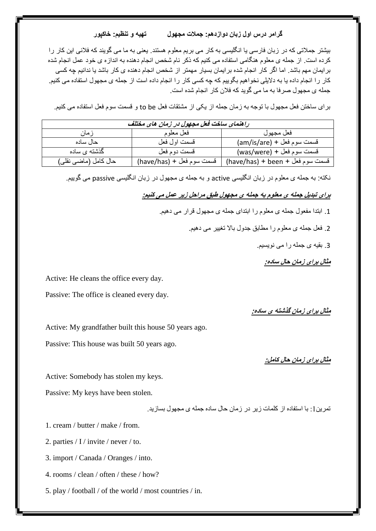## **گرامر درس اول زبان دوازدهم: جمالت مجهول تهیه و تنظیم: خاکپور**

بیشتر جمالتی که در زبان فارسی یا انگلیسی به کار می بریم معلوم هستند. یعنی به ما می گویند که فالنی این کار را کرده است. از جمله ی معلوم هنگامی استفاده می کنیم که ذکر نام شخص انجام دهنده به اندازه ی خود عمل انجام شده برایمان مهم باشد. اما اگر کار انجام شده برایمان بسیار مهمتر از شخص انجام دهنده ی کار باشد یا ندانیم چه کسی کار را انجام داده یا به دالیلی نخواهیم بگوییم که چه کسی کار را انجام داده است از جمله ی مجهول استفاده می کنیم. جمله ی مجهول صرفا به ما می گوید که فالن کار انجام شده است.

برای ساختن فعل مجهول با توجه به زمان جمله از یکی از مشتقات فعل be to و قسمت سوم فعل استفاده می کنیم.

| راهنمای ساخت فعل مجهول در زمان های مختلف |                           |                                  |  |  |  |
|------------------------------------------|---------------------------|----------------------------------|--|--|--|
| ز مان                                    | فعل معلوم                 | فعل مجهول                        |  |  |  |
| حال ساده                                 | قسمت اول فعل              | فسمت سوم فعل + (am/is/are)       |  |  |  |
| گذشته ی ساده                             | قسمت دو م فعل             | فسمت سوم فعل + (was/were)        |  |  |  |
| حال كامل (ماضىي نقلي)                    | فسمت سوم فعل + (have/has) | فسمت سوم فعل + been + (have/has) |  |  |  |

نکته: به جمله ی معلوم در زبان انگلیسی active و به جمله ی مجهول در زبان انگلیسی passive می گوییم.

**برای تبدیل جمله ی معلوم به جمله ی مجهول طبق مراحل زیر عمل می کنیم:**

.1 ابتدا مفعول جمله ی معلوم را ابتدای جمله ی مجهول قرار می دهیم.

.2 فعل جمله ی معلوم را مطابق جدول باال تغییر می دهیم.

.3 بقیه ی جمله را می نویسیم.

**مثال برای زمان حال ساده:**

Active: He cleans the office every day.

Passive: The office is cleaned every day.

**مثال برای زمان گذشته ی ساده:**

Active: My grandfather built this house 50 years ago.

Passive: This house was built 50 years ago.

**مثال برای زمان حال کامل:**

Active: Somebody has stolen my keys.

Passive: My keys have been stolen.

تمرین:1 با استفاده از کلمات زیر در زمان حال ساده جمله ی مجهول بسازید.

1. cream / butter / make / from.

2. parties / I / invite / never / to.

3. import / Canada / Oranges / into.

4. rooms / clean / often / these / how?

5. play / football / of the world / most countries / in.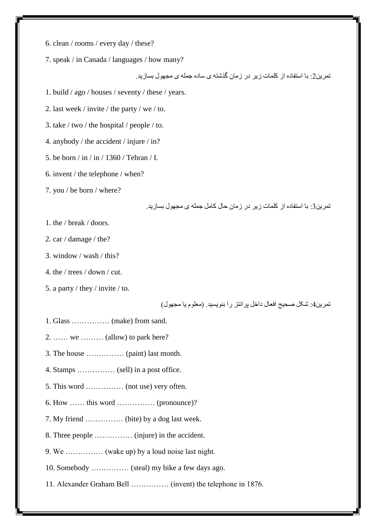- 6. clean / rooms / every day / these?
- 7. speak / in Canada / languages / how many?

تمرین:2 با استفاده از کلمات زیر در زمان گذشته ی ساده جمله ی مجهول بسازید.

- 1. build / ago / houses / seventy / these / years.
- 2. last week / invite / the party / we / to.
- 3. take / two / the hospital / people / to.
- 4. anybody / the accident / injure / in?
- 5. be born / in / in / 1360 / Tehran / I.
- 6. invent / the telephone / when?
- 7. you / be born / where?

تمرین:3 با استفاده از کلمات زیر در زمان حال کامل جمله ی مجهول بسازید.

- 1. the / break / doors.
- 2. car / damage / the?
- 3. window / wash / this?
- 4. the / trees / down / cut.
- 5. a party / they / invite / to.

تمرین4: شکل صحیح افعال داخل پرانتز را بنویسید. (معلوم یا مجهول)

- 1. Glass …………… (make) from sand.
- 2. …… we ……… (allow) to park here?
- 3. The house …………… (paint) last month.
- 4. Stamps …………… (sell) in a post office.
- 5. This word …………… (not use) very often.
- 6. How …… this word …………… (pronounce)?
- 7. My friend …………… (bite) by a dog last week.
- 8. Three people …………… (injure) in the accident.
- 9. We …………… (wake up) by a loud noise last night.
- 10. Somebody …………… (steal) my bike a few days ago.
- 11. Alexander Graham Bell …………… (invent) the telephone in 1876.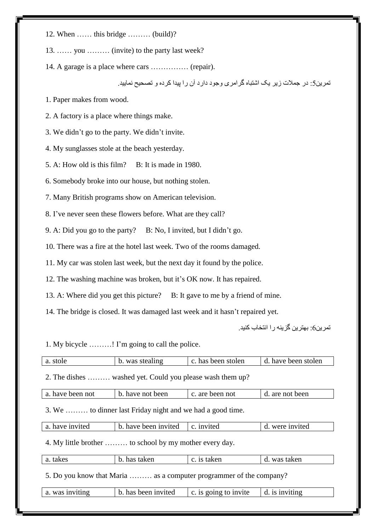12. When …… this bridge ……… (build)?

13. …… you ……… (invite) to the party last week?

14. A garage is a place where cars …………… (repair).

تمرین:5 در جمالت زیر یک اشتباه گرامری وجود دارد آن را پیدا کرده و تصحیح نمایید.

1. Paper makes from wood.

2. A factory is a place where things make.

3. We didn't go to the party. We didn't invite.

4. My sunglasses stole at the beach yesterday.

5. A: How old is this film? B: It is made in 1980.

6. Somebody broke into our house, but nothing stolen.

7. Many British programs show on American television.

8. I've never seen these flowers before. What are they call?

9. A: Did you go to the party? B: No, I invited, but I didn't go.

10. There was a fire at the hotel last week. Two of the rooms damaged.

11. My car was stolen last week, but the next day it found by the police.

12. The washing machine was broken, but it's OK now. It has repaired.

13. A: Where did you get this picture? B: It gave to me by a friend of mine.

14. The bridge is closed. It was damaged last week and it hasn't repaired yet.

تمرین:6 بهترین گزینه را انتخاب کنید.

1. My bicycle ………! I'm going to call the police.

| a. stole                                                            | b. was stealing                    | c. has been stolen                      | d. have been stolen |  |  |  |  |
|---------------------------------------------------------------------|------------------------------------|-----------------------------------------|---------------------|--|--|--|--|
| 2. The dishes  washed yet. Could you please wash them up?           |                                    |                                         |                     |  |  |  |  |
| a. have been not                                                    | b. have not been                   | c. are been not                         | d. are not been     |  |  |  |  |
| 3. We  to dinner last Friday night and we had a good time.          |                                    |                                         |                     |  |  |  |  |
| a. have invited                                                     | b. have been invited<br>c. invited |                                         | d. were invited     |  |  |  |  |
| 4. My little brother  to school by my mother every day.             |                                    |                                         |                     |  |  |  |  |
| a. takes                                                            | b. has taken                       | c. is taken                             | d. was taken        |  |  |  |  |
| 5. Do you know that Maria  as a computer programmer of the company? |                                    |                                         |                     |  |  |  |  |
| a. was inviting                                                     | b. has been invited                | d. is inviting<br>c. is going to invite |                     |  |  |  |  |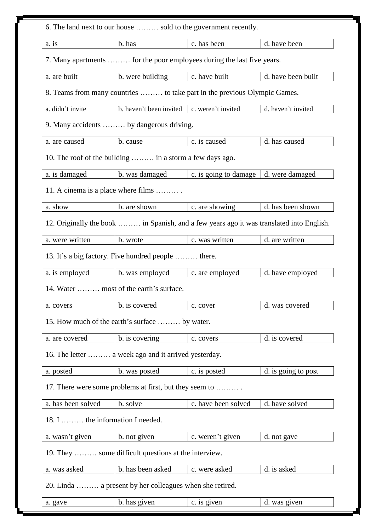| 6. The land next to our house  sold to the government recently.           |                                                          |                                                                                          |                     |  |  |  |  |
|---------------------------------------------------------------------------|----------------------------------------------------------|------------------------------------------------------------------------------------------|---------------------|--|--|--|--|
| a. is                                                                     | b. has                                                   | c. has been                                                                              | d. have been        |  |  |  |  |
| 7. Many apartments  for the poor employees during the last five years.    |                                                          |                                                                                          |                     |  |  |  |  |
| a. are built                                                              | b. were building                                         | c. have built                                                                            | d. have been built  |  |  |  |  |
| 8. Teams from many countries  to take part in the previous Olympic Games. |                                                          |                                                                                          |                     |  |  |  |  |
| a. didn't invite                                                          | b. haven't been invited                                  | c. weren't invited                                                                       | d. haven't invited  |  |  |  |  |
|                                                                           | 9. Many accidents  by dangerous driving.                 |                                                                                          |                     |  |  |  |  |
| a. are caused                                                             | b. cause                                                 | c. is caused                                                                             | d. has caused       |  |  |  |  |
|                                                                           | 10. The roof of the building  in a storm a few days ago. |                                                                                          |                     |  |  |  |  |
| a. is damaged                                                             | b. was damaged                                           | c. is going to damage                                                                    | d. were damaged     |  |  |  |  |
|                                                                           | 11. A cinema is a place where films                      |                                                                                          |                     |  |  |  |  |
| a. show                                                                   | b. are shown                                             | c. are showing                                                                           | d. has been shown   |  |  |  |  |
|                                                                           |                                                          | 12. Originally the book  in Spanish, and a few years ago it was translated into English. |                     |  |  |  |  |
| a. were written                                                           | b. wrote                                                 | c. was written                                                                           | d. are written      |  |  |  |  |
|                                                                           | 13. It's a big factory. Five hundred people  there.      |                                                                                          |                     |  |  |  |  |
| a. is employed                                                            | b. was employed                                          | c. are employed                                                                          | d. have employed    |  |  |  |  |
|                                                                           | 14. Water  most of the earth's surface.                  |                                                                                          |                     |  |  |  |  |
| a. covers                                                                 | b. is covered                                            | c. cover                                                                                 | d. was covered      |  |  |  |  |
| 15. How much of the earth's surface  by water.                            |                                                          |                                                                                          |                     |  |  |  |  |
| a. are covered                                                            | b. is covering                                           | c. covers                                                                                | d. is covered       |  |  |  |  |
| 16. The letter  a week ago and it arrived yesterday.                      |                                                          |                                                                                          |                     |  |  |  |  |
| a. posted                                                                 | b. was posted                                            | c. is posted                                                                             | d. is going to post |  |  |  |  |
| 17. There were some problems at first, but they seem to                   |                                                          |                                                                                          |                     |  |  |  |  |
| a. has been solved                                                        | b. solve                                                 | c. have been solved                                                                      | d. have solved      |  |  |  |  |
| 18. I  the information I needed.                                          |                                                          |                                                                                          |                     |  |  |  |  |
| a. wasn't given                                                           | b. not given                                             | c. weren't given                                                                         | d. not gave         |  |  |  |  |
| 19. They  some difficult questions at the interview.                      |                                                          |                                                                                          |                     |  |  |  |  |
| a. was asked                                                              | b. has been asked                                        | c. were asked                                                                            | d. is asked         |  |  |  |  |
| 20. Linda  a present by her colleagues when she retired.                  |                                                          |                                                                                          |                     |  |  |  |  |
| a. gave                                                                   | b. has given                                             | c. is given                                                                              | d. was given        |  |  |  |  |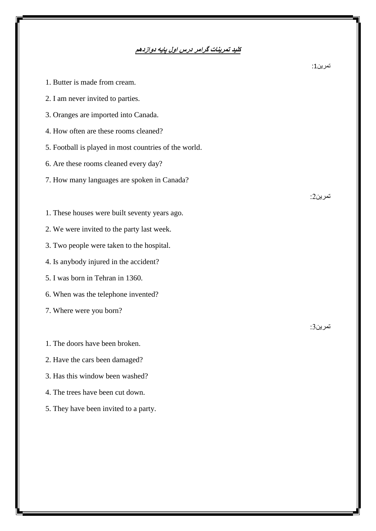## **کلید تمرینات گرامر درس اول پایه دوازدهم**

| 1. Butter is made from cream.                         |          |
|-------------------------------------------------------|----------|
| 2. I am never invited to parties.                     |          |
| 3. Oranges are imported into Canada.                  |          |
| 4. How often are these rooms cleaned?                 |          |
| 5. Football is played in most countries of the world. |          |
| 6. Are these rooms cleaned every day?                 |          |
| 7. How many languages are spoken in Canada?           |          |
|                                                       | تمر بن2· |
| 1. These houses were built seventy years ago.         |          |
| 2. We were invited to the party last week.            |          |
| 3. Two people were taken to the hospital.             |          |
| 4. Is anybody injured in the accident?                |          |
| 5. I was born in Tehran in 1360.                      |          |
| 6. When was the telephone invented?                   |          |
| 7. Where were you born?                               |          |
|                                                       | تمر ين3: |
| 1. The doors have been broken.                        |          |
| 2. Have the cars been damaged?                        |          |
| 3. Has this window been washed?                       |          |

- 4. The trees have been cut down.
- 5. They have been invited to a party.

تمرین:1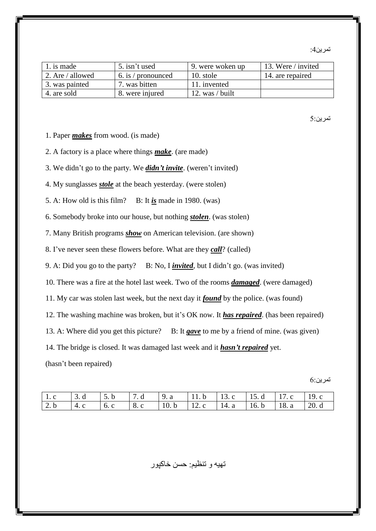تمرین4:

| 1. is made       | 5. isn't used      | 9. were woken up  | 13. Were / invited |
|------------------|--------------------|-------------------|--------------------|
| 2. Are / allowed | 6. is / pronounced | 10. stole         | 14. are repaired   |
| 3. was painted   | 7. was bitten      | 11. invented      |                    |
| 4. are sold      | 8. were injured    | 12. was $/$ built |                    |

## تمرین5:

- 1. Paper *makes* from wood. (is made)
- 2. A factory is a place where things *make*. (are made)
- 3. We didn't go to the party. We *didn't invite*. (weren't invited)
- 4. My sunglasses *stole* at the beach yesterday. (were stolen)
- 5. A: How old is this film? B: It  $i\frac{s}{s}$  made in 1980. (was)
- 6. Somebody broke into our house, but nothing *stolen*. (was stolen)
- 7. Many British programs *show* on American television. (are shown)
- 8. I've never seen these flowers before. What are they *call*? (called)
- 9. A: Did you go to the party? B: No, I *invited*, but I didn't go. (was invited)
- 10. There was a fire at the hotel last week. Two of the rooms *damaged*. (were damaged)
- 11. My car was stolen last week, but the next day it *found* by the police. (was found)
- 12. The washing machine was broken, but it's OK now. It *has repaired*. (has been repaired)
- 13. A: Where did you get this picture? B: It *gave* to me by a friend of mine. (was given)
- 14. The bridge is closed. It was damaged last week and it *hasn't repaired* yet.

(hasn't been repaired)

تمرین6:

| 1 l.c       | $\overline{1}$ 3 d | $5. b$ 7. d  |               | $\vert 9.3 \vert$ |      | $11. b$   13. c   15. d   17. c |  | 119. c |
|-------------|--------------------|--------------|---------------|-------------------|------|---------------------------------|--|--------|
| $\vert 2.b$ | $-4.1$             | $\vert$ 6. c | $\vert 8$ . C | 10.b              | 12.c | 14. a   16. b   18. a           |  | 20d    |

تهیه و تنظیم: حسن خاکپور